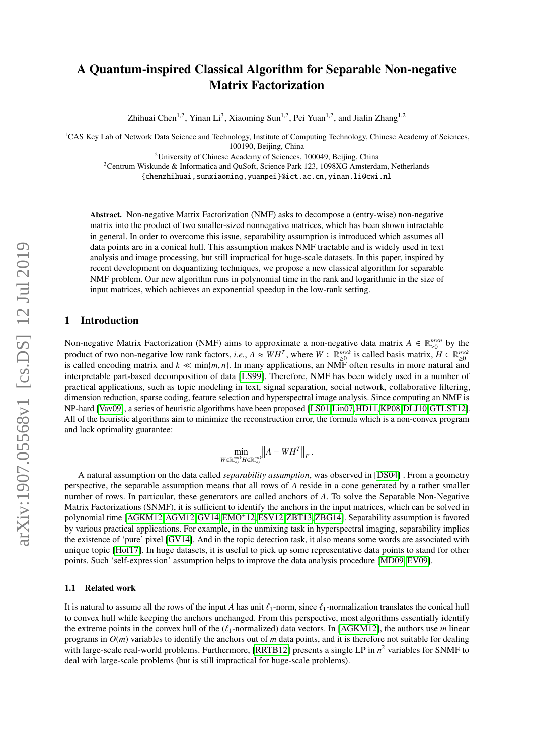# A Quantum-inspired Classical Algorithm for Separable Non-negative Matrix Factorization

Zhihuai Chen<sup>1,2</sup>, Yinan Li<sup>3</sup>, Xiaoming Sun<sup>1,2</sup>, Pei Yuan<sup>1,2</sup>, and Jialin Zhang<sup>1,2</sup>

<sup>1</sup>CAS Key Lab of Network Data Science and Technology, Institute of Computing Technology, Chinese Academy of Sciences,

100190, Beijing, China

 $2$ University of Chinese Academy of Sciences, 100049, Beijing, China

<sup>3</sup>Centrum Wiskunde & Informatica and QuSoft, Science Park 123, 1098XG Amsterdam, Netherlands

{chenzhihuai,sunxiaoming,yuanpei}@ict.ac.cn,yinan.li@cwi.nl

Abstract. Non-negative Matrix Factorization (NMF) asks to decompose a (entry-wise) non-negative matrix into the product of two smaller-sized nonnegative matrices, which has been shown intractable in general. In order to overcome this issue, separability assumption is introduced which assumes all data points are in a conical hull. This assumption makes NMF tractable and is widely used in text analysis and image processing, but still impractical for huge-scale datasets. In this paper, inspired by recent development on dequantizing techniques, we propose a new classical algorithm for separable NMF problem. Our new algorithm runs in polynomial time in the rank and logarithmic in the size of input matrices, which achieves an exponential speedup in the low-rank setting.

# 1 Introduction

Non-negative Matrix Factorization (NMF) aims to approximate a non-negative data matrix  $A \in \mathbb{R}_{\geq 0}^{m \times n}$  by the product of two non-negative low rank factors, *i.e.*,  $A \approx WH^T$ , where  $W \in \mathbb{R}_{\geq 0}^{m \times k}$  is called basis matrix,  $H \in \mathbb{R}_{\geq 0}^{n \times k}$ is called encoding matrix and  $k \ll \min\{m, n\}$ . In many applications, an NMF often results in more natural and interpretable part-based decomposition of data [\[LS99\]](#page-9-0). Therefore, NMF has been widely used in a number of practical applications, such as topic modeling in text, signal separation, social network, collaborative filtering, dimension reduction, sparse coding, feature selection and hyperspectral image analysis. Since computing an NMF is NP-hard [\[Vav09\]](#page-9-1), a series of heuristic algorithms have been proposed [\[LS01,](#page-9-2)[Lin07,](#page-9-3)[HD11,](#page-9-4)[KP08,](#page-9-5)[DLJ10,](#page-9-6)[GTLST12\]](#page-9-7). All of the heuristic algorithms aim to minimize the reconstruction error, the formula which is a non-convex program and lack optimality guarantee:

$$
\min_{W \in \mathbb{R}_{\geq 0}^{m \times k} H \in \mathbb{R}_{\geq 0}^{n \times k}} \big\|A - W H^T\big\|_F
$$

A natural assumption on the data called *separability assumption*, was observed in [\[DS04\]](#page-9-8) . From a geometry perspective, the separable assumption means that all rows of *A* reside in a cone generated by a rather smaller number of rows. In particular, these generators are called anchors of *A*. To solve the Separable Non-Negative Matrix Factorizations (SNMF), it is sufficient to identify the anchors in the input matrices, which can be solved in polynomial time [\[AGKM12,](#page-8-0)[AGM12,](#page-8-1)[GV14,](#page-9-9)[EMO](#page-9-10)+12,[ESV12,](#page-9-11)[ZBT13,](#page-9-12)[ZBG14\]](#page-9-13). Separability assumption is favored by various practical applications. For example, in the unmixing task in hyperspectral imaging, separability implies the existence of 'pure' pixel [\[GV14\]](#page-9-9). And in the topic detection task, it also means some words are associated with unique topic [\[Hof17\]](#page-9-14). In huge datasets, it is useful to pick up some representative data points to stand for other points. Such 'self-expression' assumption helps to improve the data analysis procedure [\[MD09,](#page-9-15) [EV09\]](#page-9-16).

## 1.1 Related work

It is natural to assume all the rows of the input *A* has unit  $\ell_1$ -norm, since  $\ell_1$ -normalization translates the conical hull to convex hull while keeping the anchors unchanged. From this perspective, most algorithms essentially identify the extreme points in the convex hull of the  $(\ell_1$ -normalized) data vectors. In [\[AGKM12\]](#page-8-0), the authors use *m* linear programs in  $O(m)$  variables to identify the anchors out of *m* data points, and it is therefore not suitable for dealing with large-scale real-world problems. Furthermore, [\[RRTB12\]](#page-9-17) presents a single LP in  $n^2$  variables for SNMF to deal with large-scale problems (but is still impractical for huge-scale problems).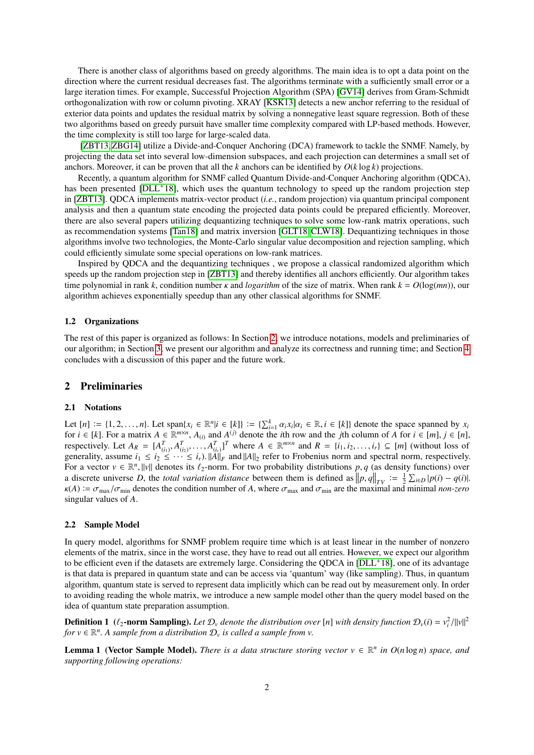There is another class of algorithms based on greedy algorithms. The main idea is to opt a data point on the direction where the current residual decreases fast. The algorithms terminate with a sufficiently small error or a large iteration times. For example, Successful Projection Algorithm (SPA) [\[GV14\]](#page-9-9) derives from Gram-Schmidt orthogonalization with row or column pivoting. XRAY [\[KSK13\]](#page-9-18) detects a new anchor referring to the residual of exterior data points and updates the residual matrix by solving a nonnegative least square regression. Both of these two algorithms based on greedy pursuit have smaller time complexity compared with LP-based methods. However, the time complexity is still too large for large-scaled data.

[\[ZBT13,](#page-9-12) [ZBG14\]](#page-9-13) utilize a Divide-and-Conquer Anchoring (DCA) framework to tackle the SNMF. Namely, by projecting the data set into several low-dimension subspaces, and each projection can determines a small set of anchors. Moreover, it can be proven that all the *k* anchors can be identified by *O*(*k* log *k*) projections.

Recently, a quantum algorithm for SNMF called Quantum Divide-and-Conquer Anchoring algorithm (QDCA), has been presented [\[DLL](#page-9-19)+18], which uses the quantum technology to speed up the random projection step in [\[ZBT13\]](#page-9-12). QDCA implements matrix-vector product (*i.e.*, random projection) via quantum principal component analysis and then a quantum state encoding the projected data points could be prepared efficiently. Moreover, there are also several papers utilizing dequantizing techniques to solve some low-rank matrix operations, such as recommendation systems [\[Tan18\]](#page-9-20) and matrix inversion [\[GLT18,](#page-9-21) [CLW18\]](#page-9-22). Dequantizing techniques in those algorithms involve two technologies, the Monte-Carlo singular value decomposition and rejection sampling, which could efficiently simulate some special operations on low-rank matrices.

Inspired by QDCA and the dequantizing techniques , we propose a classical randomized algorithm which speeds up the random projection step in [\[ZBT13\]](#page-9-12) and thereby identifies all anchors efficiently. Our algorithm takes time polynomial in rank *<sup>k</sup>*, condition number κ and *logarithm* of the size of matrix. When rank *<sup>k</sup>* <sup>=</sup> *<sup>O</sup>*(log(*mn*)), our algorithm achieves exponentially speedup than any other classical algorithms for SNMF.

## 1.2 Organizations

The rest of this paper is organized as follows: In Section [2,](#page-1-0) we introduce notations, models and preliminaries of our algorithm; in Section [3,](#page-3-0) we present our algorithm and analyze its correctness and running time; and Section [4](#page-8-2) concludes with a discussion of this paper and the future work.

## <span id="page-1-0"></span>2 Preliminaries

#### 2.1 Notations

Let  $[n] := \{1, 2, ..., n\}$ . Let  $\text{span}\{x_i \in \mathbb{R}^n | i \in [k]\} := \{\sum_{i=1}^k \alpha_i x_i | \alpha_i \in \mathbb{R}, i \in [k]\}$  denote the space spanned by  $x_i$  for  $i \in [k]$ . For a matrix  $A \in \mathbb{R}^{m \times n}$ ,  $A_{\infty}$  and  $A^{(j)}$  denote the *i*th row and the *i* Let  $[n] := \{1, 2, ..., n\}$ . Let span $\{x_i \in \mathbb{R}^n | i \in [k]\} := \{\sum_{i=1}^k \alpha_i x_i | \alpha_i \in \mathbb{R}, i \in [k]\}$  denote the space spanned by  $x_i$  for  $i \in [k]$ . For a matrix  $A \in \mathbb{R}^{m \times n}$ ,  $A_{(i)}$  and  $A^{(j)}$  denote the *i*th row and the *j* For a vector  $v \in \mathbb{R}^n$ , ||v|| denotes its  $\ell_2$ -norm. For two probability distributions *p*, *q* (as density functions) over<br>a discrete universe *D*, the *total variation distance* between them is defined as  $\|\mathbf{n}_e$ a discrete universe *D*, the *total variation distance* between them is defined as  $\left\|p, q\right\|_{TV} := \frac{1}{2} \sum_{i \in D} |p(i) - q(i)|$ .<br>  $p(A) := \sigma$   $\left\{x \in \text{denotes the condition number of } A \text{ where } \sigma \text{ and } \sigma \in \text{are the maximal and minimal non-zero.}\right\}$  $\kappa(A) := \sigma_{\text{max}}/\sigma_{\text{min}}$  denotes the condition number of *A*, where  $\sigma_{\text{max}}$  and  $\sigma_{\text{min}}$  are the maximal and minimal *non-zero*<br>singular values of *A* singular values of *A*.

## <span id="page-1-2"></span>2.2 Sample Model

In query model, algorithms for SNMF problem require time which is at least linear in the number of nonzero elements of the matrix, since in the worst case, they have to read out all entries. However, we expect our algorithm to be efficient even if the datasets are extremely large. Considering the QDCA in [\[DLL](#page-9-19)<sup>+</sup>18], one of its advantage is that data is prepared in quantum state and can be access via 'quantum' way (like sampling). Thus, in quantum algorithm, quantum state is served to represent data implicitly which can be read out by measurement only. In order to avoiding reading the whole matrix, we introduce a new sample model other than the query model based on the idea of quantum state preparation assumption.

**Definition 1** ( $\ell_2$ -norm Sampling). Let  $\mathcal{D}_v$  denote the distribution over [n] with density function  $\mathcal{D}_v(i) = v_i^2/||v||^2$ <br>for  $v \in \mathbb{R}^n$ . A sample from a distribution  $\mathcal{D}_v$  is called a sample from  $v$ . *for*  $v \in \mathbb{R}^n$ . A sample from a distribution  $\mathcal{D}_v$  is called a sample from  $v$ .

<span id="page-1-1"></span>**Lemma 1 (Vector Sample Model).** *There is a data structure storing vector*  $v \in \mathbb{R}^n$  *in*  $O(n \log n)$  *space, and supporting following operations:*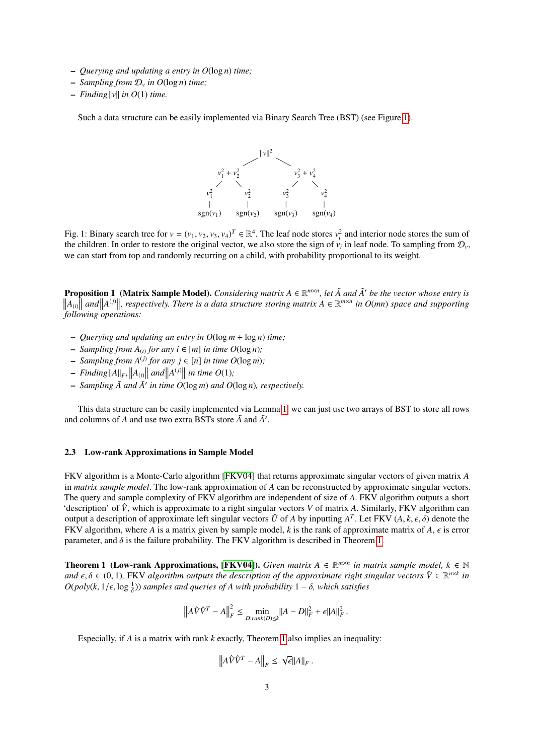- *Querying and updating a entry in O*(log *n*) *time;*
- *Sampling from* D*<sup>v</sup> in O*(log *n*) *time;*
- $-$  *Finding* ||v|| *in O*(1) *time.*

<span id="page-2-0"></span>Such a data structure can be easily implemented via Binary Search Tree (BST) (see Figure [1\)](#page-2-0).



Fig. 1: Binary search tree for  $v = (v_1, v_2, v_3, v_4)^T \in \mathbb{R}^4$ . The leaf node stores  $v_i^2$  and interior node stores the sum of the children. In order to restore the original vector, we also store the sign of v, in leaf the children. In order to restore the original vector, we also store the sign of  $v_i$  in leaf node. To sampling from  $\mathcal{D}_v$ , we can start from top and randomly recurring on a child, with probability proportional to its weight.

**Proposition 1** (**Matrix Sample Model**). *Considering matrix*  $A \in \mathbb{R}^{m \times n}$ , let  $\tilde{A}$  and  $\tilde{A}'$  be the vector whose entry is  $\|A_{(i)}\|$  and  $\|A^{(j)}\|$ , respectively. There is a data structure storing matrix  $\|A_{(i)}\|$  and  $\|A^{(j)}\|$ , respectively. There is a data structure storing matrix  $A \in \mathbb{R}^{m \times n}$  in  $O(mn)$  space and supporting *following operations:*

- *Querying and updating an entry in O*(log *m* + log *n*) *time;*
- $\rightarrow$  *Sampling from*  $A_{(i)}$  *for any i* ∈ [*m*] *in time O*(log *n*)*;*
- $\blacktriangle$  *Sampling from*  $A^{(j)}$  *for any j* ∈ [*n*] *in time*  $O(\log m)$ *;*
- $-$  *Finding*  $||A||_F$ ,  $||A_{(i)}||$  *and*  $||A^{(j)}||$  *in time O*(1);
- *Sampling A and* ˜ *A*˜<sup>0</sup> *in time O*(log *m*) *and O*(log *n*)*, respectively.*

This data structure can be easily implemented via Lemma [1,](#page-1-1) we can just use two arrays of BST to store all rows and columns of *A* and use two extra BSTs store  $\tilde{A}$  and  $\tilde{A}'$ .

## 2.3 Low-rank Approximations in Sample Model

FKV algorithm is a Monte-Carlo algorithm [\[FKV04\]](#page-9-23) that returns approximate singular vectors of given matrix *A* in *matrix sample model*. The low-rank approximation of *A* can be reconstructed by approximate singular vectors. The query and sample complexity of FKV algorithm are independent of size of *A*. FKV algorithm outputs a short 'description' of  $\hat{V}$ , which is approximate to a right singular vectors *V* of matrix *A*. Similarly, FKV algorithm can output a description of approximate left singular vectors  $\hat{U}$  of *A* by inputting  $A^T$ . Let FKV  $(A, k, \epsilon, \delta)$  denote the FKV algorithm where *A* is a matrix given by sample model *k* is the rank of approximate matrix FKV algorithm, where *A* is a matrix given by sample model, *k* is the rank of approximate matrix of  $A$ ,  $\epsilon$  is error parameter, and  $\delta$  is the failure probability. The FKV algorithm is described in Theorem [1.](#page-2-1)

<span id="page-2-1"></span>**Theorem 1 (Low-rank Approximations, [\[FKV04\]](#page-9-23)).** *Given matrix*  $A \in \mathbb{R}^{m \times n}$  in matrix sample model,  $k \in \mathbb{N}$ *and*  $\epsilon, \delta \in (0, 1)$ , FKV *algorithm outputs the description of the approximate right singular vectors*  $\hat{V} \in \mathbb{R}^{n \times k}$  *in*<br>*O*(nob)(k, 1/ $\epsilon$ , log, <sup>1</sup>)) samples and queries of A with probability  $1 - \delta$ , which sa  $O(\text{poly}(k, 1/\epsilon, \log \frac{1}{\delta}))$  *samples and queries of A with probability*  $1 - \delta$ *, which satisfies* 

$$
\left\|A\hat{V}\hat{V}^{T}-A\right\|_{F}^{2} \leq \min_{D:rank(D)\leq k} \|A-D\|_{F}^{2}+\epsilon\|A\|_{F}^{2}.
$$

Especially, if *A* is a matrix with rank *k* exactly, Theorem [1](#page-2-1) also implies an inequality:

$$
\left\|A\hat{V}\hat{V}^T - A\right\|_F \leq \sqrt{\epsilon} \|A\|_F.
$$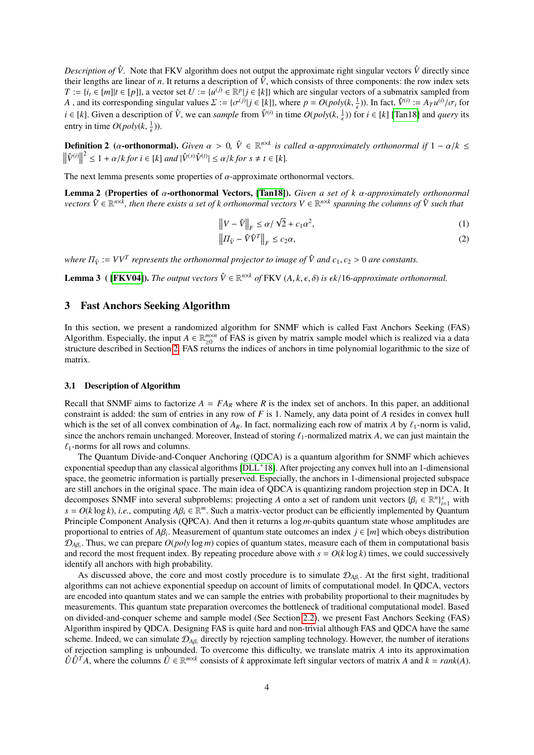*Description of*  $\hat{V}$ . Note that FKV algorithm does not output the approximate right singular vectors  $\hat{V}$  directly since their lengths are linear of *n*. It returns a description of  $\hat{V}$ , which consists of three components: the row index sets *T* := { $i_t$  ∈ [*m*]|*t* ∈ [*p*]}, a vector set *U* := { $u^{(j)}$  ∈  $\mathbb{R}^p | j$  ∈ [*k*]} which are singular vectors of a submatrix sampled from A, and its corresponding singular values  $\Sigma := {\{\sigma^{(j)} | j \in [k]\}}$ , where  $p = O(poly(k, \frac{1}{\epsilon}))$ . In fact,  $\hat{V}^{(i)} := A_T u^{(i)}/\sigma_i$  for  $i \in [k]$ . Given a description of  $\hat{V}$ , we can sample from  $\hat{V}^{(i)}$  in time  $O(n\epsilon h^{(i)})$  for *i* ∈ [*k*]. Given a description of  $\hat{V}$ , we can *sample* from  $\hat{V}^{(i)}$  in time  $O(poly(k, \frac{1}{\epsilon}))$  for *i* ∈ [*k*] [\[Tan18\]](#page-9-20) and *query* its entry in time  $O(poly(k, \frac{1}{\epsilon}))$ .

**Definition 2** (α-**orthonormal).** *Given*  $\alpha > 0$ ,  $\hat{V} \in \mathbb{R}^{n \times k}$  *is called* α-approximately orthonormal if  $1 - \alpha/k \le$ <br> $\frac{|\hat{V}(i)|^2}{\alpha} \le 1 + \alpha/k$  for  $i \in [k]$  and  $\frac{|\hat{V}(i)|\hat{V}(i)|}{\alpha} \le \alpha/k$  for  $\alpha \ne \alpha \in [k]$  $\|\hat{V}^{(i)}\|$  $2^{2} \leq 1 + \alpha/k$  for  $i \in [k]$  and  $|\hat{V}^{(s)}\hat{V}^{(t)}| \leq \alpha/k$  for  $s \neq t \in [k]$ .

The next lemma presents some properties of  $\alpha$ -approximate orthonormal vectors.

Lemma 2 (Properties of <sup>α</sup>-orthonormal Vectors, [\[Tan18\]](#page-9-20)). *Given a set of <sup>k</sup>* α*-approximately orthonormal*  $\hat{V} \in \mathbb{R}^{n \times \bar{k}}$ , then there exists a set of k orthonormal vectors  $V \in \mathbb{R}^{n \times k}$  spanning the columns of  $\hat{V}$  such that

<span id="page-3-1"></span>
$$
\left\|V - \hat{V}\right\|_{F} \le \alpha/\sqrt{2} + c_1 \alpha^2,\tag{1}
$$

<span id="page-3-4"></span><span id="page-3-3"></span>
$$
\left\| \Pi_{\hat{V}} - \hat{V}\hat{V}^T \right\|_F \le c_2 \alpha,\tag{2}
$$

*where*  $\Pi_{\hat{V}} := VV^T$  *represents the orthonormal projector to image of*  $\hat{V}$  *and c*<sub>1</sub>, *c*<sub>2</sub> > 0 *are constants.* 

<span id="page-3-2"></span>**Lemma 3** ( [\[FKV04\]](#page-9-23)). *The output vectors*  $\hat{V} \in \mathbb{R}^{n \times k}$  *of* FKV  $(A, k, \epsilon, \delta)$  *is*  $\epsilon k/16$ *-approximate orthonormal.* 

## <span id="page-3-0"></span>3 Fast Anchors Seeking Algorithm

In this section, we present a randomized algorithm for SNMF which is called Fast Anchors Seeking (FAS) Algorithm. Especially, the input  $A \in \mathbb{R}_{\geq 0}^{m \times n}$  of FAS is given by matrix sample model which is realized via a data structure described in Section [2.](#page-1-0) FAS returns the indices of anchors in time polynomial logarithmic to the size of matrix.

### 3.1 Description of Algorithm

Recall that SNMF aims to factorize  $A = FA_R$  where R is the index set of anchors. In this paper, an additional constraint is added: the sum of entries in any row of *F* is 1. Namely, any data point of *A* resides in convex hull which is the set of all convex combination of  $A_R$ . In fact, normalizing each row of matrix *A* by  $\ell_1$ -norm is valid, since the anchors remain unchanged. Moreover, Instead of storing  $\ell_1$ -normalized matrix *A*, we can just maintain the  $\ell_1$ -norms for all rows and columns.

The Quantum Divide-and-Conquer Anchoring (QDCA) is a quantum algorithm for SNMF which achieves exponential speedup than any classical algorithms [\[DLL](#page-9-19)+18]. After projecting any convex hull into an 1-dimensional space, the geometric information is partially preserved. Especially, the anchors in 1-dimensional projected subspace are still anchors in the original space. The main idea of QDCA is quantizing random projection step in DCA. It decomposes SNMF into several subproblems: projecting *A* onto a set of random unit vectors  $\{\beta_i \in \mathbb{R}^n\}_{i=1}^s$  with  $s = O(k \log k)$  i.e., computing  $AB_i \in \mathbb{R}^m$ . Such a matrix-vector product can be efficiently implement  $s = O(k \log k)$ , *i.e.*, computing  $A\beta_i \in \mathbb{R}^m$ . Such a matrix-vector product can be efficiently implemented by Quantum<br>Principle Component Analysis (OPCA). And then it returns a log *m*-qubits quantum state whose amplitud Principle Component Analysis (QPCA). And then it returns a log *m*-qubits quantum state whose amplitudes are proportional to entries of  $A\beta_i$ . Measurement of quantum state outcomes an index  $j \in [m]$  which obeys distribution<br> $\mathcal{D}_{i,j}$ . Thus, we can prepare  $O(noly \log m)$  copies of quantum states, measure each of them in computatio  $\mathcal{D}_{A\beta_i}$ . Thus, we can prepare  $O(poly \log m)$  copies of quantum states, measure each of them in computational basis and record the meet frequent index. By repeating precedure above with  $s = O(k \log k)$  times, we could avecessi and record the most frequent index. By repeating procedure above with  $s = O(k \log k)$  times, we could successively identify all anchors with high probability.

As discussed above, the core and most costly procedure is to simulate  $\mathcal{D}_{A\beta_i}$ . At the first sight, traditional pricing connect solid up to a proportional problem of connectional problem and  $DCA$  up there algorithms can not achieve exponential speedup on account of limits of computational model. In QDCA, vectors are encoded into quantum states and we can sample the entries with probability proportional to their magnitudes by measurements. This quantum state preparation overcomes the bottleneck of traditional computational model. Based on divided-and-conquer scheme and sample model (See Section [2.2\)](#page-1-2), we present Fast Anchors Seeking (FAS) Algorithm inspired by QDCA. Designing FAS is quite hard and non-trivial although FAS and QDCA have the same scheme. Indeed, we can simulate  $\mathcal{D}_{A\beta_i}$  directly by rejection sampling technology. However, the number of iterations of rejection sempling is uphounded. To overcome this difficulty, we translate matrix A into its ap of rejection sampling is unbounded. To overcome this difficulty, we translate matrix *A* into its approximation  $\hat{U}\hat{U}^T A$ , where the columns  $\hat{U} \in \mathbb{R}^{m \times k}$  consists of *k* approximate left singular vectors of matrix *A* and  $k = rank(A)$ .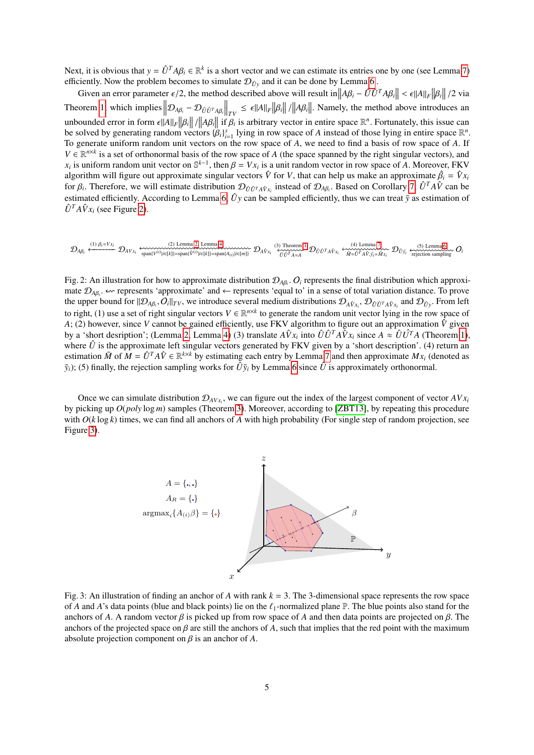Next, it is obvious that  $y = \hat{U}^T A \beta_i \in \mathbb{R}^k$  is a short vector and we can estimate its entries one by one (see Lemma [7\)](#page-6-0) efficiently. Now the problem becomes to simulate  $\mathcal{D}_\phi$  and it can be done by Lemma 6. efficiently. Now the problem becomes to simulate  $\mathcal{D}_{\hat{U}y}$  and it can be done by Lemma [6](#page-6-1).

Given an error parameter  $\epsilon/2$ , the method described above will result in  $||A\beta_i - \hat{U}\hat{U}^T A\beta_i|| < \epsilon ||A||_F ||\beta_i||/2$  via Theorem [1,](#page-2-1) which implies  $\left\| \mathcal{D}_{A\beta_i} - \mathcal{D}_{\hat{U}\hat{U}^T A\beta_i} \right\|_{TV} \leq \epsilon \|A\|_F \|\beta_i\|$  /  $||A\beta_i||$ . Namely, the method above introduces an unbounded error in form  $\epsilon ||A||_F ||\beta_i|| ||A\beta_i||$  if  $\beta_i$  is arbitrary vector in entire space  $\mathbb{R}^n$ . Fortunately, this issue can<br>be solved by generating random vectors  $\beta_i \lambda^s$ , lying in row space of A instead of those *unbounded error in form ε*<sub>[|A||F||β<sub>*i*||</sub> / ||Aβ<sub>*i*||</sub> 11 *B<sub>i</sub>* is arourary vector in entire space κ c. Fortunately, this issue can<br>be solved by generating random vectors  $\{\beta_i\}_{i=1}^s$  lying in row space of *A* ins</sub> To generate uniform random unit vectors on the row space of *A*, we need to find a basis of row space of *A*. If  $V \in \mathbb{R}^{n \times k}$  is a set of orthonormal basis of the row space of *A* (the space spanned by the right singular vectors), and *x<sub>i</sub>* is uniform random unit vector on  $\mathbb{S}^{k-1}$ , then  $\beta = Vx_i$  is a unit random vector in row space of *A*. Moreover, FKV algorithm will figure out approximate singular vectors  $\hat{V}$  for *V* that can belp us make algorithm will figure out approximate singular vectors  $\hat{V}$  for *V*, that can help us make an approximate  $\hat{\beta}_i = \hat{V}x_i$ <br>for *β*. Therefore, we will estimate distribution  $\hat{V}$   $\hat{\beta}_i = \hat{V}$  instead of  $\hat{V}$  as for  $\beta_i$ . Therefore, we will estimate distribution  $\mathcal{D}_{\hat{U}}\hat{U}^T A \hat{V}_i$  instead of  $\mathcal{D}_{A\hat{\beta}_i}$ . Based on Corollary [7,](#page-6-0)  $\hat{U}^T A \hat{V}$  can be estimated of initiative Associative Associative Associative Associa estimated efficiently. According to Lemma [6,](#page-6-1)  $\hat{U}y$  can be sampled efficiently, thus we can treat  $\tilde{y}$  as estimation of  $\hat{U}^T A \hat{V} x_i$  (see Figure [2\)](#page-4-0).

<span id="page-4-0"></span><sup>D</sup>*<sup>A</sup>*β*<sup>i</sup>* (1) <sup>β</sup>*i*=*V x<sup>i</sup>* ←−−−−−−− D*AV x<sup>i</sup>* (2) Lemma [2](#page-3-1), Lemma [4](#page-5-0) span{*V* (*i*) |*i*∈[*k*]}=span{*V*ˆ (*i*) |*i*∈[*k*]}=span{*A*(*i*) |*i*∈[*m*]} D*AV x* <sup>ˆ</sup> *i* (3) Theorem [1](#page-2-1) *U*ˆ *U*ˆ *<sup>T</sup> A*≈*A* D*U*<sup>ˆ</sup> *<sup>U</sup>*<sup>ˆ</sup> *<sup>T</sup> AV x* <sup>ˆ</sup> *i* (4) Lemma [7](#page-6-0) *<sup>M</sup>*˜ <sup>≈</sup>*U*<sup>ˆ</sup> *<sup>T</sup> AV*<sup>ˆ</sup> ,*y*˜*i*=*Mx* ˜ *i* D*U*<sup>ˆ</sup> *<sup>y</sup>*˜*<sup>i</sup>* (5) Lemma [6](#page-6-1) rejection sampling O*i*

Fig. 2: An illustration for how to approximate distribution  $\mathcal{D}_{A\beta_i}$ ,  $O_i$  represents the final distribution which approximate mate  $\mathcal{D}_{A\beta_i}$ .  $\sim$  represents 'approximate' and ← represents 'equal to' in a sense of total variation distance. To prove the upper bound for  $||\mathcal{D}_{A\beta_i}, \mathcal{O}_i||_{TV}$ , we introduce several medium distributions  $\mathcal{D}_{A\hat{V}_{X_i}}, \mathcal{D}_{\hat{U}\hat{U}^T A\hat{V}_{X_i}}$  and  $\mathcal{D}_{\hat{U}_Y}$ . From left to right (1) yes a set of right singular vectors  $V \subseteq \mathbb{$ to right, (1) use a set of right singular vectors  $V \in \mathbb{R}^{n \times k}$  to generate the random unit vector lying in the row space of *A*; (2) however, since *V* cannot be gained efficiently, use FKV algorithm to figure out an approximation  $\hat{V}$  given by a 'short desription'; (Lemma [2,](#page-3-1) Lemma [4\)](#page-5-0) (3) translate  $A\hat{V}x_i$  into  $\hat{U}\hat{U}^T A\hat{V}x_i$  since  $A \approx \hat{U}\hat{U}^T A$  (Theorem [1\)](#page-2-1), where  $\hat{U}$  is the approximate left singular vectors generated by FKV given by a 'short description'. (4) return an estimation  $\tilde{M}$  of  $M = \hat{U}^T A \hat{V} \in \mathbb{R}^{k \times k}$  by estimating each entry by Lemma [7](#page-6-0) and then approximate  $Mx_i$  (denoted as  $\tilde{y}_i$ ); (5) finally, the rejection sampling works for  $\hat{U}\tilde{y}_i$  by Lemma [6](#page-6-1) since  $\hat{U}$  is approximately orthonormal.

<span id="page-4-1"></span>Once we can simulate distribution  $\mathcal{D}_{AVx_i}$ , we can figure out the index of the largest component of vector  $AVx_i$ by picking up *O*(*poly* log *m*) samples (Theorem [3\)](#page-8-3). Moreover, according to [\[ZBT13\]](#page-9-12), by repeating this procedure with  $O(k \log k)$  times, we can find all anchors of A with high probability (For single step of random projection, see Figure [3\)](#page-4-1).



Fig. 3: An illustration of finding an anchor of *A* with rank *k* = 3. The 3-dimensional space represents the row space of *A* and *A*'s data points (blue and black points) lie on the  $\ell_1$ -normalized plane P. The blue points also stand for the anchors of *A*. A random vector  $\beta$  is picked up from row space of *A* and then data points are projected on  $\beta$ . The anchors of the projected space on  $\beta$  are still the anchors of A, such that implies that the red point with the maximum absolute projection component on  $\beta$  is an anchor of  $A$ .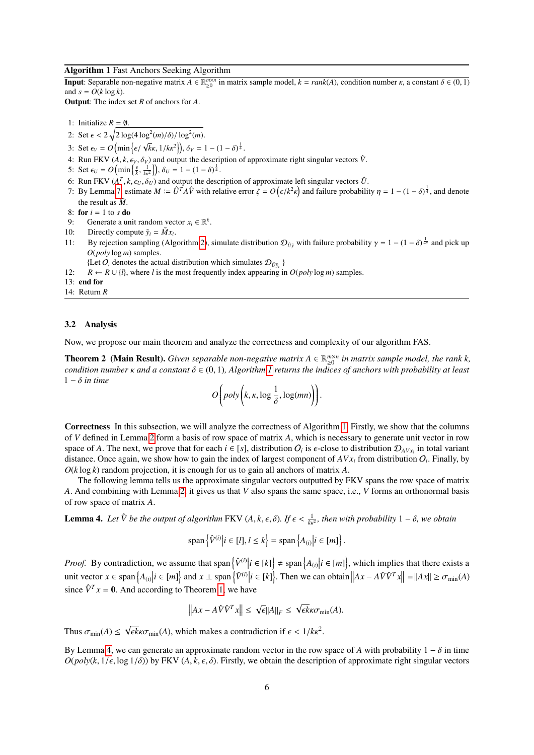## <span id="page-5-1"></span>Algorithm 1 Fast Anchors Seeking Algorithm

**Input**: Separable non-negative matrix  $A \in \mathbb{R}_{\geq 0}^{m \times n}$  in matrix sample model,  $k = rank(A)$ , condition number  $\kappa$ , a constant  $\delta \in (0, 1)$ <br>and  $s = O(k \log k)$ and  $s = O(k \log k)$ .

Output: The index set *R* of anchors for *A*.

1: Initialize 
$$
R = \emptyset
$$
.

2: Set  $\epsilon < 2\sqrt{2\log(4\log^2(m)/\delta)/\log^2(m)}$ .

- <span id="page-5-2"></span>3: Set  $\epsilon_V = O\left(\min\left\{\epsilon/\sqrt{k}\kappa, 1/k\kappa^2\right\}\right), \delta_V = 1 - (1 - \delta)^{\frac{1}{4}}.$
- 4: Run FKV ( $A, k, \epsilon_V, \delta_V$ ) and output the description of approximate right singular vectors  $\hat{V}$ .
- <span id="page-5-3"></span>5: Set  $\epsilon_U = O\left(\min\left\{\frac{\epsilon}{k}, \frac{1}{k\kappa^2}\right\}\right), \delta_U = 1 - (1 - \delta)^{\frac{1}{4}}.$
- 6: Run FKV  $(A^T, k, \epsilon_U, \delta_U)$  and output the description of approximate left singular vectors  $\hat{U}$ .<br>*7*: Ry Lemma 7, estimate  $M \hat{U}^T A \hat{V}$  with relative error  $\zeta O(\epsilon/k^2 \epsilon)$  and failure probabili
- 7: By Lemma [7,](#page-6-0) estimate  $M := \hat{U}^T A \hat{V}$  with relative error  $\zeta = O(\epsilon/k^2 \kappa^2)$ ) and failure probability  $\eta = 1 - (1 - \delta)^{\frac{1}{4}}$ , and denote the result as  $\tilde{M}$ .
- 8: for  $i = 1$  to  $s$  do
- <span id="page-5-5"></span>9: Generate a unit random vector  $x_i \in \mathbb{R}^k$ .
- 10: Directly compute  $\tilde{y}_i = \tilde{M}x_i$ .
- 11: By rejection sampling (Algorithm [2\)](#page-6-2), simulate distribution  $\mathcal{D}_{\hat{U}\bar{y}}$  with failure probability  $\gamma = 1 (1 \delta)^{\frac{1}{4s}}$  and pick up  $O(n\alpha/v \log m)$  samples *O*(*poly* log *m*) samples.
	- {Let  $O_i$  denotes the actual distribution which simulates  $D_{\hat{U}\tilde{y}_i}$  }
- 12:  $R \leftarrow R \cup \{l\}$ , where *l* is the most frequently index appearing in  $O(\text{poly}\log m)$  samples.
- 13: end for
- 14: Return *R*

#### 3.2 Analysis

Now, we propose our main theorem and analyze the correctness and complexity of our algorithm FAS.

**Theorem 2** (Main Result). *Given separable non-negative matrix*  $A \in \mathbb{R}_{\geq 0}^{m \times n}$  *in matrix sample model, the rank k, condition number*  $\kappa$  *and* a constant  $\delta \in (0, 1)$  $\delta \in (0, 1)$  $\delta \in (0, 1)$ *, Algorithm 1 returns the indices of anchors with probability at least* <sup>1</sup> <sup>−</sup> δ *in time*

<span id="page-5-4"></span>
$$
O\bigg(poly\bigg(k,\kappa,\log\frac{1}{\delta},\log(mn)\bigg)\bigg).
$$

Correctness In this subsection, we will analyze the correctness of Algorithm [1.](#page-5-1) Firstly, we show that the columns of *V* defined in Lemma [2](#page-3-1) form a basis of row space of matrix *A*, which is necessary to generate unit vector in row space of *A*. The next, we prove that for each  $i \in [s]$ , distribution  $O_i$  is  $\epsilon$ -close to distribution  $D_{AVx_i}$  in total variant distance. Once again we show how to gain the index of largest component of  $AVx$  from distr distance. Once again, we show how to gain the index of largest component of  $AVx_i$  from distribution  $O_i$ . Finally, by *O*(*k* log *k*) random projection, it is enough for us to gain all anchors of matrix *A*.

The following lemma tells us the approximate singular vectors outputted by FKV spans the row space of matrix *A*. And combining with Lemma [2,](#page-3-1) it gives us that *V* also spans the same space, i.e., *V* forms an orthonormal basis of row space of matrix *A*.

**Lemma 4.** Let  $\hat{V}$  be the output of algorithm FKV  $(A, k, \epsilon, \delta)$ . If  $\epsilon < \frac{1}{k\kappa^2}$ , then with probability  $1 - \delta$ , we obtain

<span id="page-5-0"></span>
$$
\operatorname{span}\left\{\hat{V}^{(i)}\middle|i\in[l], l\leq k\right\}=\operatorname{span}\left\{A_{(i)}\middle|i\in[m]\right\}.
$$

*Proof.* By contradiction, we assume that span  $\left\{\hat{V}^{(i)}\middle|i \in [k]\right\} \neq \text{span}\left\{A_{(i)}\middle|i \in [m]\right\}$ , which implies that there exists a unit vector  $x \in \text{span} \{A_{(i)} | i \in [m] \}$  and  $x \perp \text{span} \{ \hat{V}^{(i)} | i \in [k] \}$ . Then we can obtain  $||Ax - A\hat{V}\hat{V}^T x|| = ||Ax|| \ge \sigma_{\min}(A)$ since  $\hat{V}^T x = 0$ . And according to Theorem [1,](#page-2-1) we have

$$
\left\|Ax - A\hat{V}\hat{V}^T x\right\| \leq \sqrt{\epsilon} \|A\|_F \leq \sqrt{\epsilon k} \kappa \sigma_{\min}(A).
$$

Thus  $\sigma_{\min}(A) \leq$ √  $\overline{\epsilon k} \kappa \sigma_{\min}(A)$ , which makes a contradiction if  $\epsilon < 1/k\kappa^2$ .

By Lemma [4,](#page-5-0) we can generate an approximate random vector in the row space of *A* with probability  $1 - \delta$  in time  $O(poly(k, 1/\epsilon, \log 1/\delta))$  by FKV  $(A, k, \epsilon, \delta)$ . Firstly, we obtain the description of approximate right singular vectors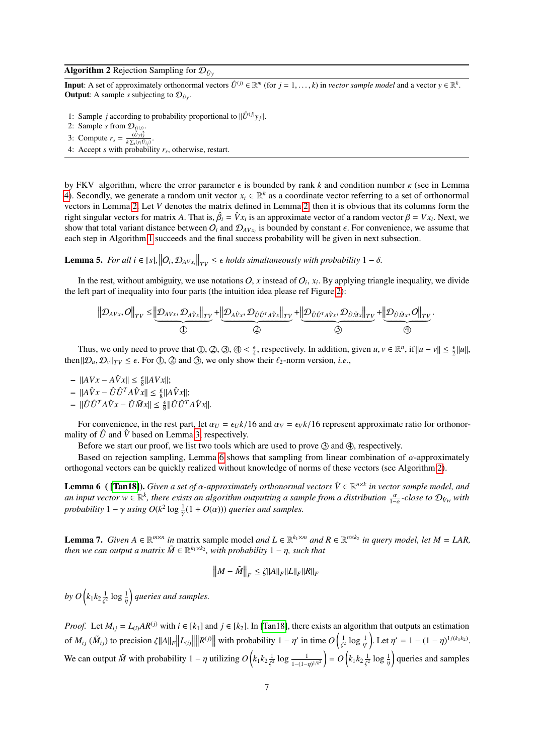## <span id="page-6-2"></span>Algorithm 2 Rejection Sampling for  $\mathcal{D}_{\hat{U}_Y}$

**Input:** A set of approximately orthonormal vectors  $\hat{U}^{(j)} \in \mathbb{R}^m$  (for  $j = 1, ..., k$ ) in *vector sample model* and a vector  $y \in \mathbb{R}^k$ .<br>Output: A sample *s* subjecting to  $\Omega$ . **Output:** A sample *s* subjecting to  $\mathcal{D}_{\hat{U}_v}$ .

- 1: Sample *j* according to probability proportional to  $\|\hat{U}^{(j)}y_j\|$ .
- 2: Sample *s* from  $\mathcal{D}_{\hat{U}^{(j)}}$
- 3: Compute  $r_s = \frac{(\hat{U}y)_s^2}{k \sum_i (y_i \hat{U}_{ij})}$
- . 4: Accept *s* with probability *r<sup>s</sup>* , otherwise, restart.

by FKV algorithm, where the error parameter  $\epsilon$  is bounded by rank *k* and condition number  $\kappa$  (see in Lemma [4\)](#page-5-0). Secondly, we generate a random unit vector  $x_i \in \mathbb{R}^k$  as a coordinate vector referring to a set of orthonormal vectors in Lemma [2.](#page-3-1) Let *V* denotes the matrix defined in Lemma [2,](#page-3-1) then it is obvious that its columns form the right singular vectors for matrix *A*. That is,  $\hat{\beta}_i = \hat{V} x_i$  is an approximate vector of a random vector  $\beta = V x_i$ . Next, we also veriant distance between  $\Omega$ , and  $\Omega$ ,  $\ldots$  is bounded by constant  $\epsilon$ . For convenie show that total variant distance between  $O_i$  and  $\mathcal{D}_{AVx_i}$  is bounded by constant  $\epsilon$ . For convenience, we assume that each step in Algorithm 1 succeeds and the final success probability will be given in pext subsect each step in Algorithm [1](#page-5-1) succeeds and the final success probability will be given in next subsection.

<span id="page-6-3"></span>Lemma 5. For all  $i \in [s]$ ,  $\left\|O_i, \mathcal{D}_{AVx_i}\right\|_{TV} \leq \epsilon$  holds simultaneously with probability  $1 - \delta$ .

In the rest, without ambiguity, we use notations  $O$ ,  $x$  instead of  $O_i$ ,  $x_i$ . By applying triangle inequality, we divide the left part of inequality into four parts (the intuition idea please ref Figure [2\)](#page-4-0):

$$
\left\Vert \mathcal{D}_{AVx},O\right\Vert_{TV} \leq \underbrace{\left\Vert \mathcal{D}_{AVx},\mathcal{D}_{A\hat{V}x}\right\Vert_{TV}}_{\textcircled{1}}+\underbrace{\left\Vert \mathcal{D}_{A\hat{V}x},\mathcal{D}_{\hat{U}\hat{U}^TA\hat{V}x}\right\Vert_{TV}}_{\textcircled{2}}+\underbrace{\left\Vert \mathcal{D}_{\hat{U}\hat{U}^TA\hat{V}x},\mathcal{D}_{\hat{U}\tilde{M}x}\right\Vert_{TV}}_{\textcircled{3}}+\underbrace{\left\Vert \mathcal{D}_{\hat{U}\tilde{M}x},O\right\Vert_{TV}}_{\textcircled{4}}
$$

Thus, we only need to prove that  $\mathbb{D}, \mathbb{Q}, \mathbb{Q}, \mathbb{Q} \leq \frac{\epsilon}{4}$ , respectively. In addition, given  $u, v \in \mathbb{R}^n$ , if  $||u - v|| \leq \frac{\epsilon}{2} ||u||$ ,  $||\mathbb{Q} - \mathbb{Q}||_{\text{max}} \leq \epsilon$ . For  $\mathbb{D}, \mathbb{Q}$  and  $\mathbb{Q}$ , we only show then  $\|\mathcal{D}_u, \mathcal{D}_v\|_{TV} \leq \epsilon$ . For  $\circled{1}$ ,  $\circled{2}$  and  $\circled{3}$ , we only show their  $\ell_2$ -norm version, *i.e.*,

 $-$  ||*AVx* − *A* $\hat{V}$ *x*|| ≤  $\frac{\epsilon}{8}$ ||*AVx*||;

- $||A\hat{V}x \hat{U}\hat{U}^T A \hat{V}x|| \leq \frac{\epsilon}{8} ||A\hat{V}x||;$
- $\|\hat{U}\hat{U}^T A \hat{V} x \hat{U} \tilde{M} x\| \leq \frac{\epsilon}{8} \|\hat{U}\hat{U}^T A \hat{V} x\|.$

For convenience, in the rest part, let  $\alpha_U = \epsilon_U k/16$  and  $\alpha_V = \epsilon_V k/16$  represent approximate ratio for orthonormality of  $\hat{U}$  and  $\hat{V}$  based on Lemma [3,](#page-3-2) respectively.

Before we start our proof, we list two tools which are used to prove  $\circled{3}$  and  $\circled{4}$ , respectively.

Based on rejection sampling, Lemma [6](#page-6-1) shows that sampling from linear combination of  $\alpha$ -approximately orthogonal vectors can be quickly realized without knowledge of norms of these vectors (see Algorithm [2\)](#page-6-2).

**Lemma 6** ( **[\[Tan18\]](#page-9-20)).** *Given a set of*  $\alpha$ *-approximately orthonormal vectors*  $\hat{V} \in \mathbb{R}^{n \times k}$  *in vector sample model, and*  $a_n$  *input vector w*  $\in \mathbb{R}^k$  *there exists an algorithm outputting a sample from a an input vector*  $w \in \mathbb{R}^k$ , there exists an algorithm outputting a sample from a distribution  $\frac{\alpha}{1-\alpha}$ -close to  $\mathcal{D}_{\hat{V}_W}$  with *probability*  $1 - \gamma$  *using*  $O(k^2 \log \frac{1}{\gamma}(1 + O(\alpha)))$  *queries and samples.* 

<span id="page-6-0"></span>**Lemma 7.** Given  $A \in \mathbb{R}^{m \times n}$  in matrix sample model *and*  $L \in \mathbb{R}^{k_1 \times m}$  *and*  $R \in \mathbb{R}^{n \times k_2}$  *in query model, let*  $M = LAR$ , *then we can output a matrix*  $\tilde{M} \in \mathbb{R}^{k_1 \times k_2}$ , with probability  $1 - \eta$ , such that

<span id="page-6-1"></span>
$$
\left\|M-\tilde{M}\right\|_F \leq \zeta \|A\|_F \|L\|_F \|R\|_F
$$

by  $O\left(k_1k_2\frac{1}{\epsilon^2}\right)$  $\frac{1}{\zeta^2} \log \frac{1}{\eta}$ *queries and samples.*

γ

*Proof.* Let  $M_{ij} = L_{(i)}AR^{(j)}$  with  $i \in [k_1]$  and  $j \in [k_2]$ . In [\[Tan18\]](#page-9-20), there exists an algorithm that outputs an estimation of  $M_{ij}(\tilde{M}_{ij})$  to precision  $\zeta ||A||_F \le ||L_{(i)}||$  $\|\mathbf{R}^{(j)}\|$  with probability  $1 - \eta'$  in time  $O\left(\frac{1}{\zeta^2} \log \frac{1}{\eta'}\right)$ . Let  $\eta' = 1 - (1 - \eta)^{1/(k_1 k_2)}$ . We can output  $\tilde{M}$  with probability  $1 - \eta$  utilizing  $O(k_1 k_2 \frac{1}{\zeta^2} \log \frac{1}{1-(1-\eta)^{1/k^2}}) = O(k_1 k_2)$  $\frac{1}{\zeta^2} \log \frac{1}{1-(1-\zeta)}$  $\frac{1}{1-(1-\eta)^{1/k^2}}$  =  $O(k_1k_2\frac{1}{\zeta^2})$  $rac{1}{\zeta^2} \log \frac{1}{\eta}$ queries and samples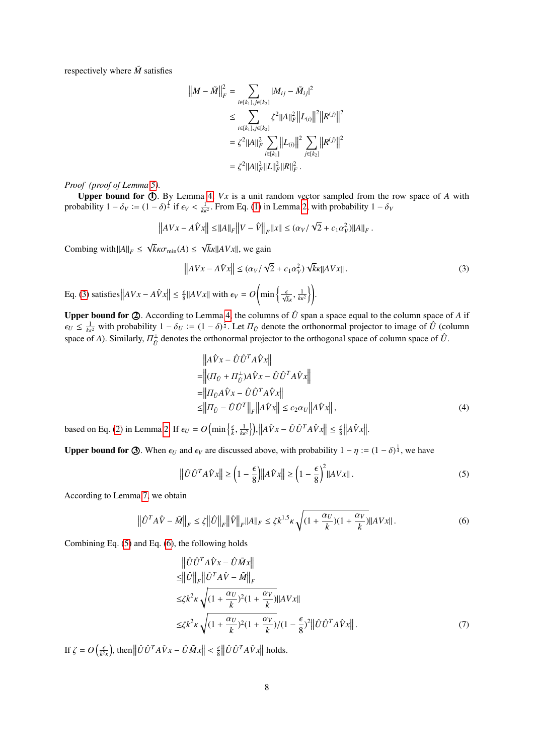respectively where  $\tilde{M}$  satisfies

$$
||M - \tilde{M}||_F^2 = \sum_{i \in [k_1], j \in [k_2]} |M_{ij} - \tilde{M}_{ij}|^2
$$
  
\n
$$
\leq \sum_{i \in [k_1], j \in [k_2]} \zeta^2 ||A||_F^2 ||L_{(i)}||^2 ||R^{(j)}||^2
$$
  
\n
$$
= \zeta^2 ||A||_F^2 \sum_{i \in [k_1]} ||L_{(i)}||^2 \sum_{j \in [k_2]} ||R^{(j)}||^2
$$
  
\n
$$
= \zeta^2 ||A||_F^2 ||L||_F^2 ||R||_F^2.
$$

*Proof (proof of Lemma [5\)](#page-6-3).*

Upper bound for  $\Phi$ . By Lemma [4,](#page-5-0) *Vx* is a unit random vector sampled from the row space of *A* with probability  $1 - \delta_V := (1 - \delta)^{\frac{1}{4}}$  if  $\epsilon_V < \frac{1}{k\kappa^2}$ . From Eq. [\(1\)](#page-3-3) in Lemma [2,](#page-3-1) with probability  $1 - \delta_V$ 

$$
\left\| AVx - A\hat{V}x \right\| \leq ||A||_F \left\| V - \hat{V} \right\|_F \left\| x \right\| \leq (\alpha_V/\sqrt{2} + c_1\alpha_V^2) ||A||_F.
$$

Combing with  $||A||_F \le$ √  $k$ *k*σ<sub>min</sub>(*A*) ≤ √  $\sqrt{k}$ *k* $\left\Vert AVx\right\Vert$ , we gain

$$
\|AVx - A\hat{V}x\| \le (\alpha_V/\sqrt{2} + c_1\alpha_V^2)\sqrt{k}\kappa\|AVx\|.
$$
\n(3)\n
$$
\text{Eq. (3) satisfies } \|AVx - A\hat{V}x\| \le \frac{\epsilon}{8} \|AVx\| \text{ with } \epsilon_V = O\left(\min\left\{\frac{\epsilon}{\sqrt{k}\kappa}, \frac{1}{k\kappa^2}\right\}\right).
$$

Upper bound for  $\emptyset$ . According to Lemma [4,](#page-5-0) the columns of  $\hat{U}$  span a space equal to the column space of *A* if  $\epsilon_U \leq \frac{1}{k\kappa^2}$  with probability  $1 - \delta_U := (1 - \delta)^{\frac{1}{4}}$ . Let  $\Pi_U$  denote the orthonormal projector to image of  $\hat{U}$  (column<br>space of *A*). Similarly  $\Pi^{\perp}$  denotes the orthonormal projector to the orthogonal sp space of *A*). Similarly,  $\Pi_{\hat{U}}^{\perp}$  denotes the orthonormal projector to the orthogonal space of column space of  $\hat{U}$ .

<span id="page-7-0"></span>
$$
\begin{aligned}\n&\left\|A\hat{V}x - \hat{U}\hat{U}^T A \hat{V}x\right\| \\
&= \left\|(I\hat{U} + \hat{U}^{\perp}_{\hat{U}})A\hat{V}x - \hat{U}\hat{U}^T A \hat{V}x\right\| \\
&= \left\|I\hat{U}^{\wedge}_{\hat{U}}\hat{V}x - \hat{U}\hat{U}^T A \hat{V}x\right\| \\
&\leq \left\|I\hat{U}^{\wedge}_{\hat{U}} - \hat{U}\hat{U}^T\right\|_{F} \left\|A\hat{V}x\right\| \leq c_2 \alpha_U \left\|A\hat{V}x\right\|,\n\end{aligned} \tag{4}
$$

based on Eq. [\(2\)](#page-3-4) in Lemma [2.](#page-3-1) If  $\epsilon_U = O\left(\min\left\{\frac{\epsilon}{k},\right\}\right)$  $\frac{1}{k\kappa^2}\Big\}, \Big\Vert A\hat{V}x - \hat{U}\hat{U}^T A\hat{V}x \Big\Vert \leq \frac{\epsilon}{8} \Big\Vert A\hat{V}x \Big\Vert.$ 

**Upper bound for**  $\mathcal{F}$ . When  $\epsilon_U$  and  $\epsilon_V$  are discussed above, with probability  $1 - \eta := (1 - \delta)^{\frac{1}{4}}$ , we have

<span id="page-7-1"></span>
$$
\left\|\hat{U}\hat{U}^T A \hat{V}x\right\| \ge \left(1 - \frac{\epsilon}{8}\right) \left\|A \hat{V}x\right\| \ge \left(1 - \frac{\epsilon}{8}\right)^2 \left\|A Vx\right\|.
$$
\n(5)

According to Lemma [7,](#page-6-0) we obtain

<span id="page-7-2"></span>
$$
\left\|\hat{U}^T A \hat{V} - \tilde{M}\right\|_F \le \zeta \left\|\hat{U}\right\|_F \left\|\hat{V}\right\|_F \left\|A\right\|_F \le \zeta k^{1.5} \kappa \sqrt{(1 + \frac{\alpha_U}{k})(1 + \frac{\alpha_V}{k})} \|AVx\| \,.
$$
\n
$$
\tag{6}
$$

Combining Eq. [\(5\)](#page-7-1) and Eq. [\(6\)](#page-7-2), the following holds

$$
\begin{split}\n\left\| \hat{U} \hat{U}^T A \hat{V} x - \hat{U} \tilde{M} x \right\| \\
\leq & \|\hat{U}\|_F \|\hat{U}^T A \hat{V} - \tilde{M}\|_F \\
\leq & \zeta k^2 \kappa \sqrt{(1 + \frac{\alpha_U}{k})^2 (1 + \frac{\alpha_V}{k})} \|A V x\| \\
\leq & \zeta k^2 \kappa \sqrt{(1 + \frac{\alpha_U}{k})^2 (1 + \frac{\alpha_V}{k})} / (1 - \frac{\epsilon}{8})^2 \|\hat{U} \hat{U}^T A \hat{V} x\|.\n\end{split} \tag{7}
$$

If  $\zeta = O\left(\frac{\epsilon}{k^2 \kappa}\right)$  $\int \int \hat{U} \hat{U}^T A \hat{V} x - \hat{U} \tilde{M} x \leq \int \int \int \hat{U} \hat{U}^T A \hat{V} x$  holds.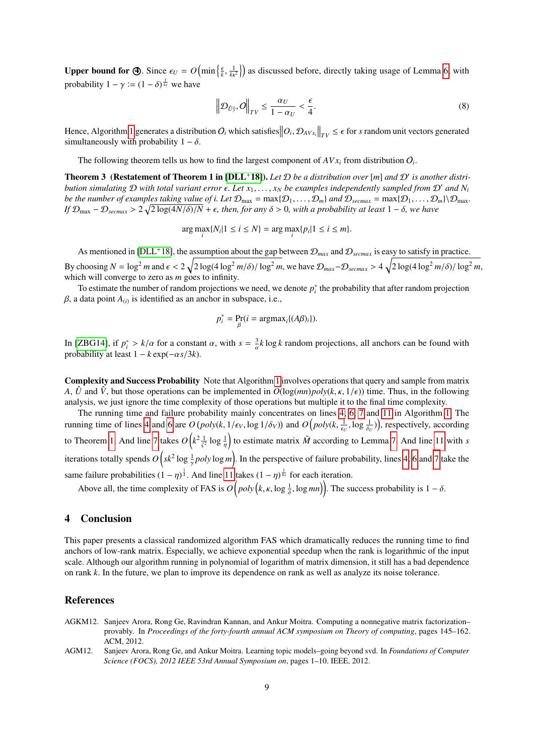**Upper bound for**  $\bigoplus$ **.** Since  $\epsilon_U = O\left(\min\left\{\frac{\epsilon}{k},\right\}\right)$  $\left(\frac{1}{k\kappa^2}\right)$  as discussed before, directly taking usage of Lemma [6,](#page-6-1) with probability  $1 - \gamma := (1 - \delta)^{\frac{1}{4s}}$  we have

<span id="page-8-3"></span>
$$
\left\| \mathcal{D}_{\hat{U}\tilde{y}}, O \right\|_{TV} \le \frac{\alpha_U}{1 - \alpha_U} < \frac{\epsilon}{4}.\tag{8}
$$

Hence, Algorithm [1](#page-5-1) generates a distribution  $O_i$  which satisfies  $\left\|O_i, \mathcal{D}_{AV_{X_i}}\right\|_{TV} \leq \epsilon$  for *s* random unit vectors generated simultaneously with probability  $1 - \delta$ simultaneously with probability  $1 - \delta$ .

The following theorem tells us how to find the largest component of  $AVx_i$  from distribution  $O_i$ .

**Theorem 3** (Restatement of Theorem 1 in [\[DLL](#page-9-19)<sup>+</sup>18]). Let  $D$  be a distribution over [m] and  $D'$  is another distri*bution simulating*  $D$  *with total variant error*  $\epsilon$ . Let  $x_1, \ldots, x_N$  *be examples independently sampled from*  $D'$  *and*  $N_i$ *be the number of examples taking value of <i>i. Let*  $\mathcal{D}_{max} = max\{\mathcal{D}_1,\ldots,\mathcal{D}_m\}$  *and*  $\mathcal{D}_{secmax} = max\{\mathcal{D}_1,\ldots,\mathcal{D}_m\}\setminus\mathcal{D}_{max}$ . *If*  $\mathcal{D}_{\text{max}}$  –  $\mathcal{D}_{\text{secmax}}$  >  $2\sqrt{2\log(4N/\delta)/N}$  +  $\epsilon$ , then, for any  $\delta$  > 0, with a probability at least 1 –  $\delta$ , we have

 $\arg \max_{i} \{ N_i | 1 \le i \le N \} = \arg \max_{i} \{ p_i | 1 \le i \le m \}.$ 

As mentioned in [\[DLL](#page-9-19)<sup>+</sup>18], the assumption about the gap between  $\mathcal{D}_{max}$  and  $\mathcal{D}_{secmax}$  is easy to satisfy in practice. By choosing  $N = \log^2 m$  and  $\epsilon < 2\sqrt{2\log(4\log^2 m/\delta) / \log^2 m}$ , we have  $\mathcal{D}_{max} - \mathcal{D}_{secmax} > 4\sqrt{2\log(4\log^2 m/\delta) / \log^2 m}$ , which will converge to zero as *m* goes to infinity.

To estimate the number of random projections we need, we denote  $p_i^*$  the probability that after random projection  $\beta$ , a data point  $A_{(i)}$  is identified as an anchor in subspace, i.e.,

$$
p_i^* = \Pr_{\beta}(i = \operatorname{argmax}_i \{ (A\beta)_i \}).
$$

β

In [\[ZBG14\]](#page-9-13), if  $p_i^* > k/\alpha$  for a constant  $\alpha$ , with  $s = \frac{3}{\alpha}k \log k$  random projections, all anchors can be found with probability at least  $1 - k \exp(-\alpha s/3k)$ .

Complexity and Success Probability Note that Algorithm [1](#page-5-1) involves operations that query and sample from matrix *A*, *U* and *V*, but those operations can be implemented in  $O(log(mn)poly(k, \kappa, 1/\epsilon))$  time. Thus, in the following analysis, we just ignore the time complexity of those operations but multiple it to the final time complexity.

The running time and failure probability mainly concentrates on lines [4,](#page-5-2) [6,](#page-5-3) [7](#page-5-4) and [11](#page-5-5) in Algorithm [1.](#page-5-1) The running time of lines [4](#page-5-2) and [6](#page-5-3) are  $O(poly(k, 1/\epsilon_V, \log 1/\delta_V))$  and  $O(poly(k, \frac{1}{\epsilon_U}, \log \frac{1}{\delta_U}))$ , respectively, according  $\epsilon_U$ <sup>,</sup>  $\circ$   $\delta_U$ to Theorem [1.](#page-2-1) And line [7](#page-5-4) takes  $O\left(k^2 \frac{1}{\zeta^2} \log \frac{1}{\eta}\right)$ ζ ) to estimate matrix  $\tilde{M}$  according to Lemma [7.](#page-6-0) And line [11](#page-5-5) with *s* iterations totally spends  $O(sk^2 \log \frac{1}{x} poly \log m)$ . In the perspective of failure probability, lines [4,](#page-5-2) [6](#page-5-3) and [7](#page-5-4) take the same failure probabilities  $(1 - \eta)^{\frac{1}{4}}$ . And line [11](#page-5-5) takes  $(1 - \eta)^{\frac{1}{4s}}$  for each iteration.

Above all, the time complexity of FAS is  $O(poly(k, \kappa, \log \frac{1}{\delta}, \log mn))$ . The success probability is  $1 - \delta$ .

# <span id="page-8-2"></span>4 Conclusion

This paper presents a classical randomized algorithm FAS which dramatically reduces the running time to find anchors of low-rank matrix. Especially, we achieve exponential speedup when the rank is logarithmic of the input scale. Although our algorithm running in polynomial of logarithm of matrix dimension, it still has a bad dependence on rank *k*. In the future, we plan to improve its dependence on rank as well as analyze its noise tolerance.

## References

- <span id="page-8-0"></span>AGKM12. Sanjeev Arora, Rong Ge, Ravindran Kannan, and Ankur Moitra. Computing a nonnegative matrix factorization– provably. In *Proceedings of the forty-fourth annual ACM symposium on Theory of computing*, pages 145–162. ACM, 2012.
- <span id="page-8-1"></span>AGM12. Sanjeev Arora, Rong Ge, and Ankur Moitra. Learning topic models–going beyond svd. In *Foundations of Computer Science (FOCS), 2012 IEEE 53rd Annual Symposium on*, pages 1–10. IEEE, 2012.